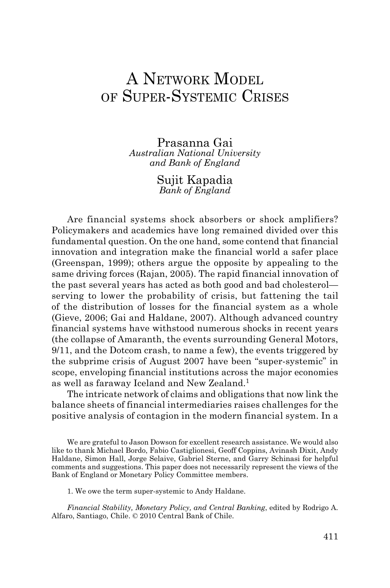# A NETWORK MODEL of Super-Systemic Crises

Prasanna Gai *Australian National University and Bank of England*

> Sujit Kapadia *Bank of England*

Are financial systems shock absorbers or shock amplifiers? Policymakers and academics have long remained divided over this fundamental question. On the one hand, some contend that financial innovation and integration make the financial world a safer place (Greenspan, 1999); others argue the opposite by appealing to the same driving forces (Rajan, 2005). The rapid financial innovation of the past several years has acted as both good and bad cholesterol serving to lower the probability of crisis, but fattening the tail of the distribution of losses for the financial system as a whole (Gieve, 2006; Gai and Haldane, 2007). Although advanced country financial systems have withstood numerous shocks in recent years (the collapse of Amaranth, the events surrounding General Motors, 9/11, and the Dotcom crash, to name a few), the events triggered by the subprime crisis of August 2007 have been "super-systemic" in scope, enveloping financial institutions across the major economies as well as faraway Iceland and New Zealand.1

The intricate network of claims and obligations that now link the balance sheets of financial intermediaries raises challenges for the positive analysis of contagion in the modern financial system. In a

We are grateful to Jason Dowson for excellent research assistance. We would also like to thank Michael Bordo, Fabio Castiglionesi, Geoff Coppins, Avinash Dixit, Andy Haldane, Simon Hall, Jorge Selaive, Gabriel Sterne, and Garry Schinasi for helpful comments and suggestions. This paper does not necessarily represent the views of the Bank of England or Monetary Policy Committee members.

1. We owe the term super-systemic to Andy Haldane.

*Financial Stability, Monetary Policy, and Central Banking*, edited by Rodrigo A. Alfaro, Santiago, Chile. © 2010 Central Bank of Chile.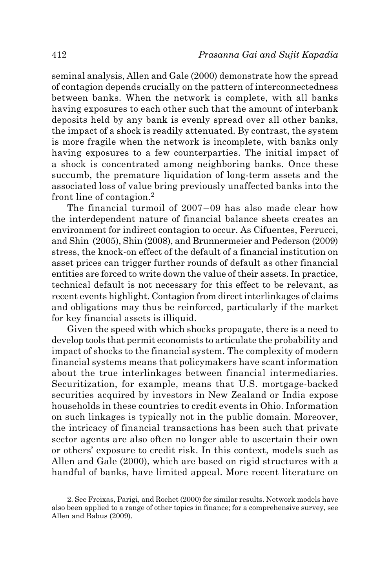seminal analysis, Allen and Gale (2000) demonstrate how the spread of contagion depends crucially on the pattern of interconnectedness between banks. When the network is complete, with all banks having exposures to each other such that the amount of interbank deposits held by any bank is evenly spread over all other banks, the impact of a shock is readily attenuated. By contrast, the system is more fragile when the network is incomplete, with banks only having exposures to a few counterparties. The initial impact of a shock is concentrated among neighboring banks. Once these succumb, the premature liquidation of long-term assets and the associated loss of value bring previously unaffected banks into the front line of contagion.2

The financial turmoil of 2007−09 has also made clear how the interdependent nature of financial balance sheets creates an environment for indirect contagion to occur. As Cifuentes, Ferrucci, and Shin (2005), Shin (2008), and Brunnermeier and Pederson (2009) stress, the knock-on effect of the default of a financial institution on asset prices can trigger further rounds of default as other financial entities are forced to write down the value of their assets. In practice, technical default is not necessary for this effect to be relevant, as recent events highlight. Contagion from direct interlinkages of claims and obligations may thus be reinforced, particularly if the market for key financial assets is illiquid.

Given the speed with which shocks propagate, there is a need to develop tools that permit economists to articulate the probability and impact of shocks to the financial system. The complexity of modern financial systems means that policymakers have scant information about the true interlinkages between financial intermediaries. Securitization, for example, means that U.S. mortgage-backed securities acquired by investors in New Zealand or India expose households in these countries to credit events in Ohio. Information on such linkages is typically not in the public domain. Moreover, the intricacy of financial transactions has been such that private sector agents are also often no longer able to ascertain their own or others' exposure to credit risk. In this context, models such as Allen and Gale (2000), which are based on rigid structures with a handful of banks, have limited appeal. More recent literature on

<sup>2.</sup> See Freixas, Parigi, and Rochet (2000) for similar results. Network models have also been applied to a range of other topics in finance; for a comprehensive survey, see Allen and Babus (2009).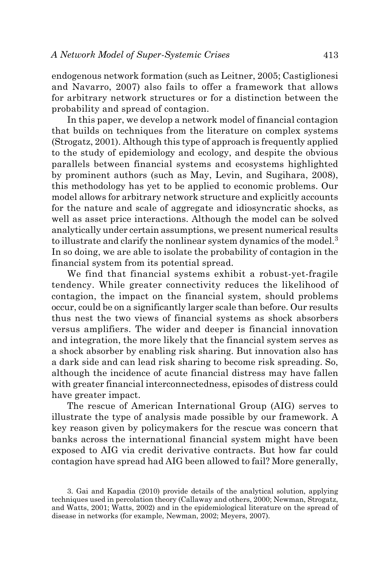endogenous network formation (such as Leitner, 2005; Castiglionesi and Navarro, 2007) also fails to offer a framework that allows for arbitrary network structures or for a distinction between the probability and spread of contagion.

In this paper, we develop a network model of financial contagion that builds on techniques from the literature on complex systems (Strogatz, 2001). Although this type of approach is frequently applied to the study of epidemiology and ecology, and despite the obvious parallels between financial systems and ecosystems highlighted by prominent authors (such as May, Levin, and Sugihara, 2008), this methodology has yet to be applied to economic problems. Our model allows for arbitrary network structure and explicitly accounts for the nature and scale of aggregate and idiosyncratic shocks, as well as asset price interactions. Although the model can be solved analytically under certain assumptions, we present numerical results to illustrate and clarify the nonlinear system dynamics of the model.<sup>3</sup> In so doing, we are able to isolate the probability of contagion in the financial system from its potential spread.

We find that financial systems exhibit a robust-yet-fragile tendency. While greater connectivity reduces the likelihood of contagion, the impact on the financial system, should problems occur, could be on a significantly larger scale than before. Our results thus nest the two views of financial systems as shock absorbers versus amplifiers. The wider and deeper is financial innovation and integration, the more likely that the financial system serves as a shock absorber by enabling risk sharing. But innovation also has a dark side and can lead risk sharing to become risk spreading. So, although the incidence of acute financial distress may have fallen with greater financial interconnectedness, episodes of distress could have greater impact.

The rescue of American International Group (AIG) serves to illustrate the type of analysis made possible by our framework. A key reason given by policymakers for the rescue was concern that banks across the international financial system might have been exposed to AIG via credit derivative contracts. But how far could contagion have spread had AIG been allowed to fail? More generally,

<sup>3.</sup> Gai and Kapadia (2010) provide details of the analytical solution, applying techniques used in percolation theory (Callaway and others, 2000; Newman, Strogatz, and Watts, 2001; Watts, 2002) and in the epidemiological literature on the spread of disease in networks (for example, Newman, 2002; Meyers, 2007).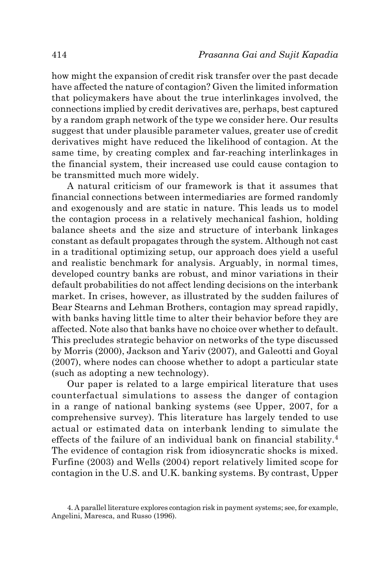how might the expansion of credit risk transfer over the past decade have affected the nature of contagion? Given the limited information that policymakers have about the true interlinkages involved, the connections implied by credit derivatives are, perhaps, best captured by a random graph network of the type we consider here. Our results suggest that under plausible parameter values, greater use of credit derivatives might have reduced the likelihood of contagion. At the same time, by creating complex and far-reaching interlinkages in the financial system, their increased use could cause contagion to be transmitted much more widely.

A natural criticism of our framework is that it assumes that financial connections between intermediaries are formed randomly and exogenously and are static in nature. This leads us to model the contagion process in a relatively mechanical fashion, holding balance sheets and the size and structure of interbank linkages constant as default propagates through the system. Although not cast in a traditional optimizing setup, our approach does yield a useful and realistic benchmark for analysis. Arguably, in normal times, developed country banks are robust, and minor variations in their default probabilities do not affect lending decisions on the interbank market. In crises, however, as illustrated by the sudden failures of Bear Stearns and Lehman Brothers, contagion may spread rapidly, with banks having little time to alter their behavior before they are affected. Note also that banks have no choice over whether to default. This precludes strategic behavior on networks of the type discussed by Morris (2000), Jackson and Yariv (2007), and Galeotti and Goyal (2007), where nodes can choose whether to adopt a particular state (such as adopting a new technology).

Our paper is related to a large empirical literature that uses counterfactual simulations to assess the danger of contagion in a range of national banking systems (see Upper, 2007, for a comprehensive survey). This literature has largely tended to use actual or estimated data on interbank lending to simulate the effects of the failure of an individual bank on financial stability.4 The evidence of contagion risk from idiosyncratic shocks is mixed. Furfine (2003) and Wells (2004) report relatively limited scope for contagion in the U.S. and U.K. banking systems. By contrast, Upper

<sup>4.</sup> A parallel literature explores contagion risk in payment systems; see, for example, Angelini, Maresca, and Russo (1996).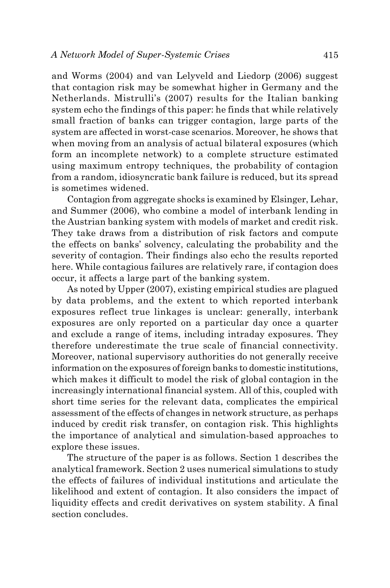and Worms (2004) and van Lelyveld and Liedorp (2006) suggest that contagion risk may be somewhat higher in Germany and the Netherlands. Mistrulli's (2007) results for the Italian banking system echo the findings of this paper: he finds that while relatively small fraction of banks can trigger contagion, large parts of the system are affected in worst-case scenarios. Moreover, he shows that when moving from an analysis of actual bilateral exposures (which form an incomplete network) to a complete structure estimated using maximum entropy techniques, the probability of contagion from a random, idiosyncratic bank failure is reduced, but its spread is sometimes widened.

Contagion from aggregate shocks is examined by Elsinger, Lehar, and Summer (2006), who combine a model of interbank lending in the Austrian banking system with models of market and credit risk. They take draws from a distribution of risk factors and compute the effects on banks' solvency, calculating the probability and the severity of contagion. Their findings also echo the results reported here. While contagious failures are relatively rare, if contagion does occur, it affects a large part of the banking system.

As noted by Upper (2007), existing empirical studies are plagued by data problems, and the extent to which reported interbank exposures reflect true linkages is unclear: generally, interbank exposures are only reported on a particular day once a quarter and exclude a range of items, including intraday exposures. They therefore underestimate the true scale of financial connectivity. Moreover, national supervisory authorities do not generally receive information on the exposures of foreign banks to domestic institutions, which makes it difficult to model the risk of global contagion in the increasingly international financial system. All of this, coupled with short time series for the relevant data, complicates the empirical assessment of the effects of changes in network structure, as perhaps induced by credit risk transfer, on contagion risk. This highlights the importance of analytical and simulation-based approaches to explore these issues.

The structure of the paper is as follows. Section 1 describes the analytical framework. Section 2 uses numerical simulations to study the effects of failures of individual institutions and articulate the likelihood and extent of contagion. It also considers the impact of liquidity effects and credit derivatives on system stability. A final section concludes.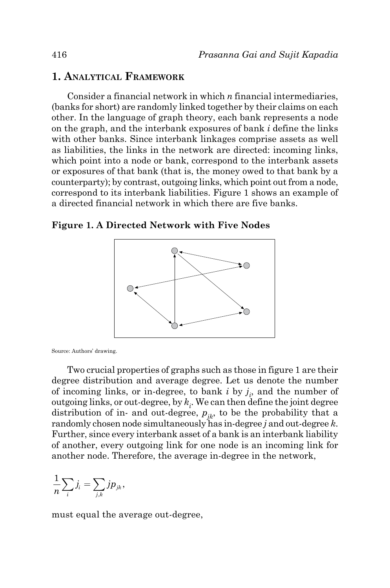# **1. Analytical Framework**

Consider a financial network in which *n* financial intermediaries, (banks for short) are randomly linked together by their claims on each other. In the language of graph theory, each bank represents a node on the graph, and the interbank exposures of bank *i* define the links with other banks. Since interbank linkages comprise assets as well as liabilities, the links in the network are directed: incoming links, which point into a node or bank, correspond to the interbank assets or exposures of that bank (that is, the money owed to that bank by a counterparty); by contrast, outgoing links, which point out from a node, correspond to its interbank liabilities. Figure 1 shows an example of a directed financial network in which there are five banks.

**Figure 1. A Directed Network with Five Nodes**



Source: Authors' drawing.

Two crucial properties of graphs such as those in figure 1 are their degree distribution and average degree. Let us denote the number of incoming links, or in-degree, to bank  $i$  by  $j_i$ , and the number of outgoing links, or out-degree, by  $k_i$ . We can then define the joint degree distribution of in- and out-degree,  $p_{ik}$ , to be the probability that a randomly chosen node simultaneously has in-degree *j* and out-degree *k*. Further, since every interbank asset of a bank is an interbank liability of another, every outgoing link for one node is an incoming link for another node. Therefore, the average in-degree in the network,

$$
\frac{1}{n}\sum_i j_i = \sum_{j,k} j p_{jk},
$$

must equal the average out-degree,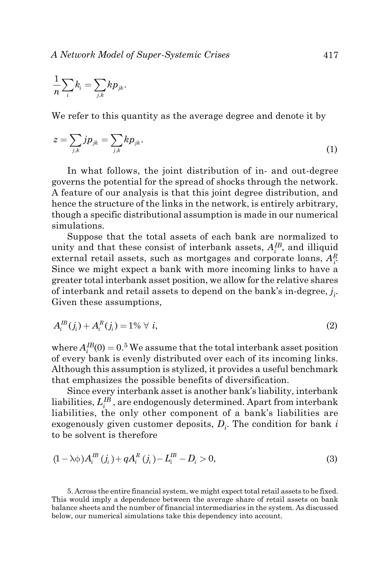$$
\frac{1}{n}\sum_i k_i=\sum_{j,k}kp_{jk}.
$$

We refer to this quantity as the average degree and denote it by

$$
z = \sum_{j,k} j p_{jk} = \sum_{j,k} k p_{jk}.
$$
\n<sup>(1)</sup>

In what follows, the joint distribution of in- and out-degree governs the potential for the spread of shocks through the network. A feature of our analysis is that this joint degree distribution, and hence the structure of the links in the network, is entirely arbitrary, though a specific distributional assumption is made in our numerical simulations.

Suppose that the total assets of each bank are normalized to unity and that these consist of interbank assets,  $A_i^{IB}$ , and illiquid external retail assets, such as mortgages and corporate loans, *AR i* . Since we might expect a bank with more incoming links to have a greater total interbank asset position, we allow for the relative shares of interbank and retail assets to depend on the bank's in-degree,  $j_i$ . Given these assumptions,

$$
A_i^{\text{IB}}(j_i) + A_i^{\text{R}}(j_i) = 1\% \ \forall \ i,
$$
\n(2)

where  $A_i^{IB}(0) = 0.5$  We assume that the total interbank asset position of every bank is evenly distributed over each of its incoming links. Although this assumption is stylized, it provides a useful benchmark that emphasizes the possible benefits of diversification.

Since every interbank asset is another bank's liability, interbank liabilities,  $L_i^{IB}$ , are endogenously determined. Apart from interbank liabilities, the only other component of a bank's liabilities are exogenously given customer deposits, *Di* . The condition for bank *i* to be solvent is therefore

$$
(1 - \lambda \phi) A_i^B (j_i) + q A_i^R (j_i) - L_i^B - D_i > 0,
$$
\n(3)

5. Across the entire financial system, we might expect total retail assets to be fixed. This would imply a dependence between the average share of retail assets on bank balance sheets and the number of financial intermediaries in the system. As discussed below, our numerical simulations take this dependency into account.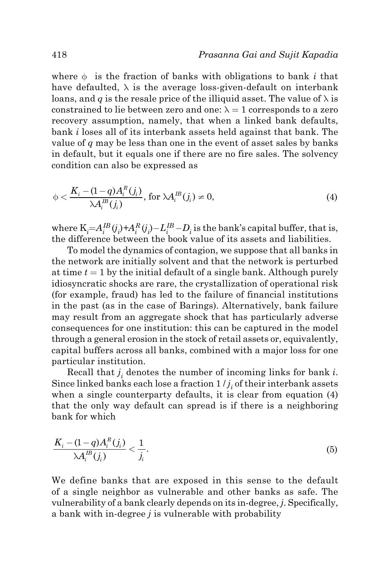where  $\phi$  is the fraction of banks with obligations to bank *i* that have defaulted,  $\lambda$  is the average loss-given-default on interbank loans, and *q* is the resale price of the illiquid asset. The value of  $\lambda$  is constrained to lie between zero and one:  $\lambda = 1$  corresponds to a zero recovery assumption, namely, that when a linked bank defaults, bank *i* loses all of its interbank assets held against that bank. The value of *q* may be less than one in the event of asset sales by banks in default, but it equals one if there are no fire sales. The solvency condition can also be expressed as

$$
\phi < \frac{K_i - (1 - q)A_i^R(j_i)}{\lambda A_i^B(j_i)}, \text{ for } \lambda A_i^B(j_i) \neq 0,\tag{4}
$$

where  $K_i = A_i^{IB}(j_i) + A_i^R(j_i) - L_i^{IB} - D_i$  is the bank's capital buffer, that is, the difference between the book value of its assets and liabilities.

To model the dynamics of contagion, we suppose that all banks in the network are initially solvent and that the network is perturbed at time  $t = 1$  by the initial default of a single bank. Although purely idiosyncratic shocks are rare, the crystallization of operational risk (for example, fraud) has led to the failure of financial institutions in the past (as in the case of Barings). Alternatively, bank failure may result from an aggregate shock that has particularly adverse consequences for one institution: this can be captured in the model through a general erosion in the stock of retail assets or, equivalently, capital buffers across all banks, combined with a major loss for one particular institution.

Recall that  $j_i$  denotes the number of incoming links for bank *i*. Since linked banks each lose a fraction  $1/j_i$  of their interbank assets when a single counterparty defaults, it is clear from equation (4) that the only way default can spread is if there is a neighboring bank for which

$$
\frac{K_i - (1-q)A_i^R(j_i)}{\lambda A_i^R(j_i)} < \frac{1}{j_i}.\tag{5}
$$

We define banks that are exposed in this sense to the default of a single neighbor as vulnerable and other banks as safe. The vulnerability of a bank clearly depends on its in-degree, *j*. Specifically, a bank with in-degree *j* is vulnerable with probability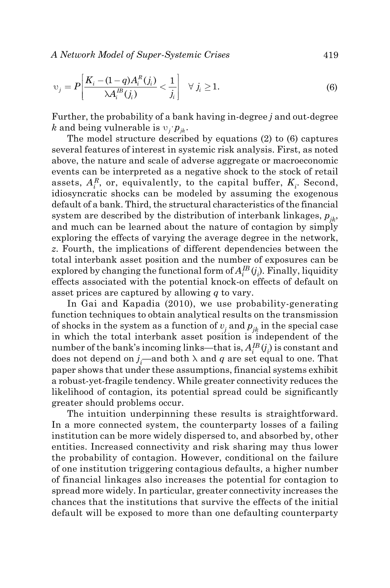*A Network Model of Super-Systemic Crises* 419

$$
\upsilon_j = P\bigg[\frac{K_i - (1 - q)A_i^R(j_i)}{\lambda A_i^B(j_i)} < \frac{1}{j_i}\bigg] \quad \forall \ j_i \ge 1. \tag{6}
$$

Further, the probability of a bank having in-degree *j* and out-degree *k* and being vulnerable is  $v_j p_k$ .

The model structure described by equations (2) to (6) captures several features of interest in systemic risk analysis. First, as noted above, the nature and scale of adverse aggregate or macroeconomic events can be interpreted as a negative shock to the stock of retail assets,  $A_i^R$ , or, equivalently, to the capital buffer,  $K_i$ . Second, idiosyncratic shocks can be modeled by assuming the exogenous default of a bank. Third, the structural characteristics of the financial system are described by the distribution of interbank linkages,  $p_{ik}$ , and much can be learned about the nature of contagion by simply exploring the effects of varying the average degree in the network, *z*. Fourth, the implications of different dependencies between the total interbank asset position and the number of exposures can be explored by changing the functional form of  $A_i^{IB}(j_i)$ . Finally, liquidity effects associated with the potential knock-on effects of default on asset prices are captured by allowing *q* to vary.

In Gai and Kapadia (2010), we use probability-generating function techniques to obtain analytical results on the transmission of shocks in the system as a function of  $v_j$  and  $p_{jk}$  in the special case in which the total interbank asset position is independent of the number of the bank's incoming links—that is,  $A_i^{IB}(j_i)$  is constant and does not depend on  $j_i$ —and both  $\lambda$  and  $q$  are set equal to one. That paper shows that under these assumptions, financial systems exhibit a robust-yet-fragile tendency. While greater connectivity reduces the likelihood of contagion, its potential spread could be significantly greater should problems occur.

The intuition underpinning these results is straightforward. In a more connected system, the counterparty losses of a failing institution can be more widely dispersed to, and absorbed by, other entities. Increased connectivity and risk sharing may thus lower the probability of contagion. However, conditional on the failure of one institution triggering contagious defaults, a higher number of financial linkages also increases the potential for contagion to spread more widely. In particular, greater connectivity increases the chances that the institutions that survive the effects of the initial default will be exposed to more than one defaulting counterparty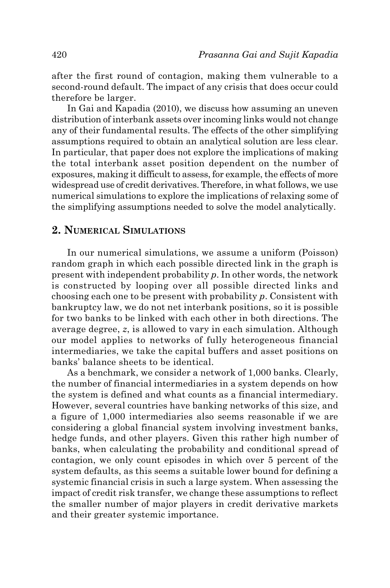after the first round of contagion, making them vulnerable to a second-round default. The impact of any crisis that does occur could therefore be larger.

In Gai and Kapadia (2010), we discuss how assuming an uneven distribution of interbank assets over incoming links would not change any of their fundamental results. The effects of the other simplifying assumptions required to obtain an analytical solution are less clear. In particular, that paper does not explore the implications of making the total interbank asset position dependent on the number of exposures, making it difficult to assess, for example, the effects of more widespread use of credit derivatives. Therefore, in what follows, we use numerical simulations to explore the implications of relaxing some of the simplifying assumptions needed to solve the model analytically.

# **2. Numerical Simulations**

In our numerical simulations, we assume a uniform (Poisson) random graph in which each possible directed link in the graph is present with independent probability *p*. In other words, the network is constructed by looping over all possible directed links and choosing each one to be present with probability *p*. Consistent with bankruptcy law, we do not net interbank positions, so it is possible for two banks to be linked with each other in both directions. The average degree, *z*, is allowed to vary in each simulation. Although our model applies to networks of fully heterogeneous financial intermediaries, we take the capital buffers and asset positions on banks' balance sheets to be identical.

As a benchmark, we consider a network of 1,000 banks. Clearly, the number of financial intermediaries in a system depends on how the system is defined and what counts as a financial intermediary. However, several countries have banking networks of this size, and a figure of 1,000 intermediaries also seems reasonable if we are considering a global financial system involving investment banks, hedge funds, and other players. Given this rather high number of banks, when calculating the probability and conditional spread of contagion, we only count episodes in which over 5 percent of the system defaults, as this seems a suitable lower bound for defining a systemic financial crisis in such a large system. When assessing the impact of credit risk transfer, we change these assumptions to reflect the smaller number of major players in credit derivative markets and their greater systemic importance.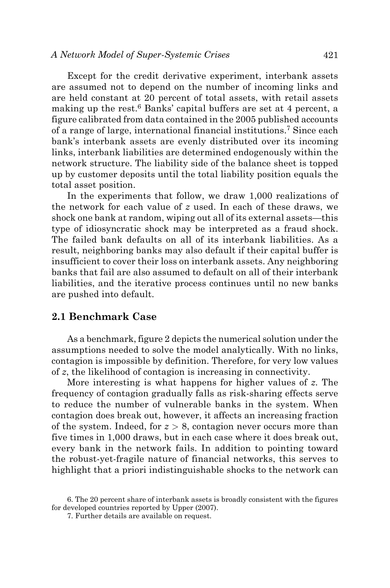Except for the credit derivative experiment, interbank assets are assumed not to depend on the number of incoming links and are held constant at 20 percent of total assets, with retail assets making up the rest.<sup>6</sup> Banks' capital buffers are set at 4 percent, a figure calibrated from data contained in the 2005 published accounts of a range of large, international financial institutions.7 Since each bank's interbank assets are evenly distributed over its incoming links, interbank liabilities are determined endogenously within the network structure. The liability side of the balance sheet is topped up by customer deposits until the total liability position equals the total asset position.

In the experiments that follow, we draw 1,000 realizations of the network for each value of *z* used. In each of these draws, we shock one bank at random, wiping out all of its external assets—this type of idiosyncratic shock may be interpreted as a fraud shock. The failed bank defaults on all of its interbank liabilities. As a result, neighboring banks may also default if their capital buffer is insufficient to cover their loss on interbank assets. Any neighboring banks that fail are also assumed to default on all of their interbank liabilities, and the iterative process continues until no new banks are pushed into default.

### **2.1 Benchmark Case**

As a benchmark, figure 2 depicts the numerical solution under the assumptions needed to solve the model analytically. With no links, contagion is impossible by definition. Therefore, for very low values of *z*, the likelihood of contagion is increasing in connectivity.

More interesting is what happens for higher values of *z*. The frequency of contagion gradually falls as risk-sharing effects serve to reduce the number of vulnerable banks in the system. When contagion does break out, however, it affects an increasing fraction of the system. Indeed, for  $z > 8$ , contagion never occurs more than five times in 1,000 draws, but in each case where it does break out, every bank in the network fails. In addition to pointing toward the robust-yet-fragile nature of financial networks, this serves to highlight that a priori indistinguishable shocks to the network can

<sup>6.</sup> The 20 percent share of interbank assets is broadly consistent with the figures for developed countries reported by Upper (2007).

<sup>7.</sup> Further details are available on request.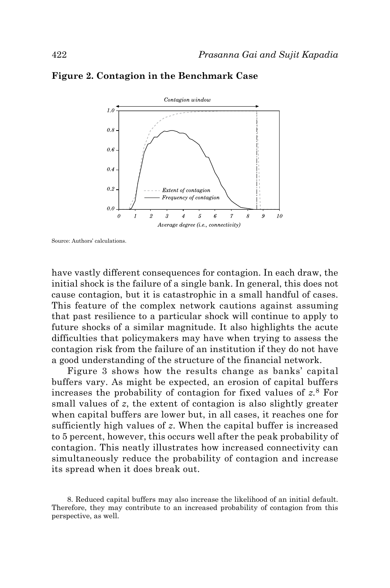

#### **Figure 2. Contagion in the Benchmark Case**

Source: Authors' calculations.

have vastly different consequences for contagion. In each draw, the initial shock is the failure of a single bank. In general, this does not cause contagion, but it is catastrophic in a small handful of cases. This feature of the complex network cautions against assuming that past resilience to a particular shock will continue to apply to future shocks of a similar magnitude. It also highlights the acute difficulties that policymakers may have when trying to assess the contagion risk from the failure of an institution if they do not have a good understanding of the structure of the financial network.

Figure 3 shows how the results change as banks' capital buffers vary. As might be expected, an erosion of capital buffers increases the probability of contagion for fixed values of *z.*8 For small values of *z*, the extent of contagion is also slightly greater when capital buffers are lower but, in all cases, it reaches one for sufficiently high values of *z*. When the capital buffer is increased to 5 percent, however, this occurs well after the peak probability of contagion. This neatly illustrates how increased connectivity can simultaneously reduce the probability of contagion and increase its spread when it does break out.

<sup>8.</sup> Reduced capital buffers may also increase the likelihood of an initial default. Therefore, they may contribute to an increased probability of contagion from this perspective, as well.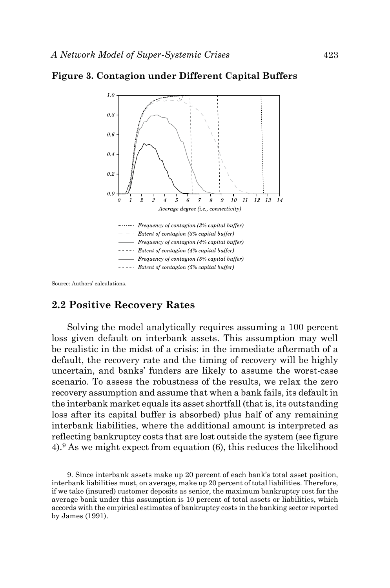

#### **Figure 3. Contagion under Different Capital Buffers**

Source: Authors' calculations.

## **2.2 Positive Recovery Rates**

Solving the model analytically requires assuming a 100 percent loss given default on interbank assets. This assumption may well be realistic in the midst of a crisis: in the immediate aftermath of a default, the recovery rate and the timing of recovery will be highly uncertain, and banks' funders are likely to assume the worst-case scenario. To assess the robustness of the results, we relax the zero recovery assumption and assume that when a bank fails, its default in the interbank market equals its asset shortfall (that is, its outstanding loss after its capital buffer is absorbed) plus half of any remaining interbank liabilities, where the additional amount is interpreted as reflecting bankruptcy costs that are lost outside the system (see figure 4).9 As we might expect from equation (6), this reduces the likelihood

9. Since interbank assets make up 20 percent of each bank's total asset position, interbank liabilities must, on average, make up 20 percent of total liabilities. Therefore, if we take (insured) customer deposits as senior, the maximum bankruptcy cost for the average bank under this assumption is 10 percent of total assets or liabilities, which accords with the empirical estimates of bankruptcy costs in the banking sector reported by James (1991).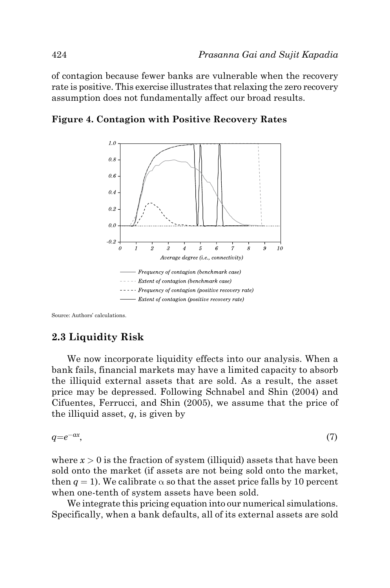of contagion because fewer banks are vulnerable when the recovery rate is positive. This exercise illustrates that relaxing the zero recovery assumption does not fundamentally affect our broad results.





Source: Authors' calculations.

# **2.3 Liquidity Risk**

We now incorporate liquidity effects into our analysis. When a bank fails, financial markets may have a limited capacity to absorb the illiquid external assets that are sold. As a result, the asset price may be depressed. Following Schnabel and Shin (2004) and Cifuentes, Ferrucci, and Shin (2005), we assume that the price of the illiquid asset, *q*, is given by

$$
q = e^{-\alpha x},\tag{7}
$$

where  $x > 0$  is the fraction of system (illiquid) assets that have been sold onto the market (if assets are not being sold onto the market, then  $q = 1$ ). We calibrate  $\alpha$  so that the asset price falls by 10 percent when one-tenth of system assets have been sold.

We integrate this pricing equation into our numerical simulations. Specifically, when a bank defaults, all of its external assets are sold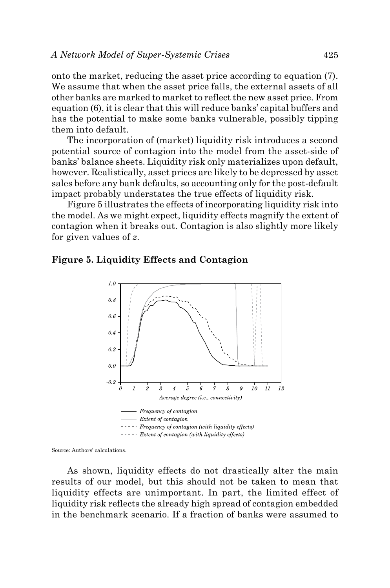onto the market, reducing the asset price according to equation (7). We assume that when the asset price falls, the external assets of all other banks are marked to market to reflect the new asset price. From equation (6), it is clear that this will reduce banks' capital buffers and has the potential to make some banks vulnerable, possibly tipping them into default.

The incorporation of (market) liquidity risk introduces a second potential source of contagion into the model from the asset-side of banks' balance sheets. Liquidity risk only materializes upon default, however. Realistically, asset prices are likely to be depressed by asset sales before any bank defaults, so accounting only for the post-default impact probably understates the true effects of liquidity risk.

Figure 5 illustrates the effects of incorporating liquidity risk into the model. As we might expect, liquidity effects magnify the extent of contagion when it breaks out. Contagion is also slightly more likely for given values of *z*.

#### **Figure 5. Liquidity Effects and Contagion**



Source: Authors' calculations.

As shown, liquidity effects do not drastically alter the main results of our model, but this should not be taken to mean that liquidity effects are unimportant. In part, the limited effect of liquidity risk reflects the already high spread of contagion embedded in the benchmark scenario. If a fraction of banks were assumed to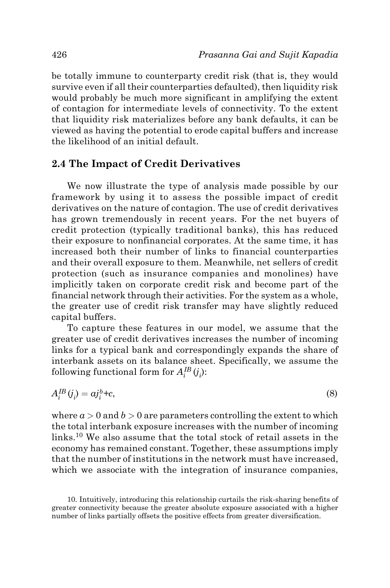be totally immune to counterparty credit risk (that is, they would survive even if all their counterparties defaulted), then liquidity risk would probably be much more significant in amplifying the extent of contagion for intermediate levels of connectivity. To the extent that liquidity risk materializes before any bank defaults, it can be viewed as having the potential to erode capital buffers and increase the likelihood of an initial default.

#### **2.4 The Impact of Credit Derivatives**

We now illustrate the type of analysis made possible by our framework by using it to assess the possible impact of credit derivatives on the nature of contagion. The use of credit derivatives has grown tremendously in recent years. For the net buyers of credit protection (typically traditional banks), this has reduced their exposure to nonfinancial corporates. At the same time, it has increased both their number of links to financial counterparties and their overall exposure to them. Meanwhile, net sellers of credit protection (such as insurance companies and monolines) have implicitly taken on corporate credit risk and become part of the financial network through their activities. For the system as a whole, the greater use of credit risk transfer may have slightly reduced capital buffers.

To capture these features in our model, we assume that the greater use of credit derivatives increases the number of incoming links for a typical bank and correspondingly expands the share of interbank assets on its balance sheet. Specifically, we assume the following functional form for  $A^{IB}_i(j_i)$ :

$$
A_i^{IB}(j_i) = a j_i^b + c,\tag{8}
$$

where  $a > 0$  and  $b > 0$  are parameters controlling the extent to which the total interbank exposure increases with the number of incoming links.10 We also assume that the total stock of retail assets in the economy has remained constant. Together, these assumptions imply that the number of institutions in the network must have increased, which we associate with the integration of insurance companies,

<sup>10.</sup> Intuitively, introducing this relationship curtails the risk-sharing benefits of greater connectivity because the greater absolute exposure associated with a higher number of links partially offsets the positive effects from greater diversification.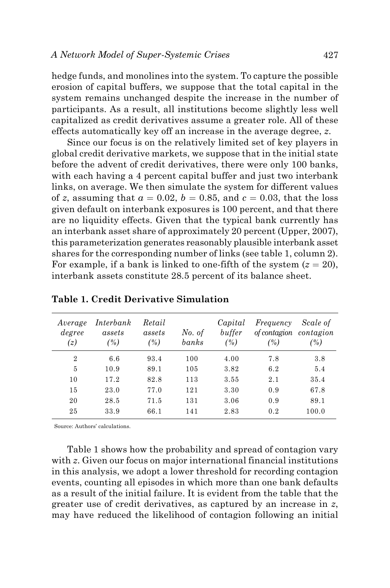hedge funds, and monolines into the system. To capture the possible erosion of capital buffers, we suppose that the total capital in the system remains unchanged despite the increase in the number of participants. As a result, all institutions become slightly less well capitalized as credit derivatives assume a greater role. All of these effects automatically key off an increase in the average degree, *z*.

Since our focus is on the relatively limited set of key players in global credit derivative markets, we suppose that in the initial state before the advent of credit derivatives, there were only 100 banks, with each having a 4 percent capital buffer and just two interbank links, on average. We then simulate the system for different values of *z*, assuming that  $a = 0.02$ ,  $b = 0.85$ , and  $c = 0.03$ , that the loss given default on interbank exposures is 100 percent, and that there are no liquidity effects. Given that the typical bank currently has an interbank asset share of approximately 20 percent (Upper, 2007), this parameterization generates reasonably plausible interbank asset shares for the corresponding number of links (see table 1, column 2). For example, if a bank is linked to one-fifth of the system  $(z = 20)$ , interbank assets constitute 28.5 percent of its balance sheet.

| Average<br>degree<br>(z) | Interbank<br>assets<br>(%) | Retail<br>assets<br>(%) | No. of<br>banks | Capital<br>buffer<br>(%) | Frequency<br>of contagion contagion<br>(%) | Scale of<br>(%) |
|--------------------------|----------------------------|-------------------------|-----------------|--------------------------|--------------------------------------------|-----------------|
| $\overline{2}$           | 6.6                        | 93.4                    | 100             | 4.00                     | 7.8                                        | 3.8             |
| 5                        | 10.9                       | 89.1                    | 105             | 3.82                     | 6.2                                        | 5.4             |
| 10                       | 17.2                       | 82.8                    | 113             | 3.55                     | 2.1                                        | 35.4            |
| 15                       | 23.0                       | 77.0                    | 121             | 3.30                     | 0.9                                        | 67.8            |
| 20                       | 28.5                       | 71.5                    | 131             | 3.06                     | 0.9                                        | 89.1            |
| 25                       | 33.9                       | 66.1                    | 141             | 2.83                     | 0.2                                        | 100.0           |

**Table 1. Credit Derivative Simulation**

Source: Authors' calculations.

Table 1 shows how the probability and spread of contagion vary with *z*. Given our focus on major international financial institutions in this analysis, we adopt a lower threshold for recording contagion events, counting all episodes in which more than one bank defaults as a result of the initial failure. It is evident from the table that the greater use of credit derivatives, as captured by an increase in *z*, may have reduced the likelihood of contagion following an initial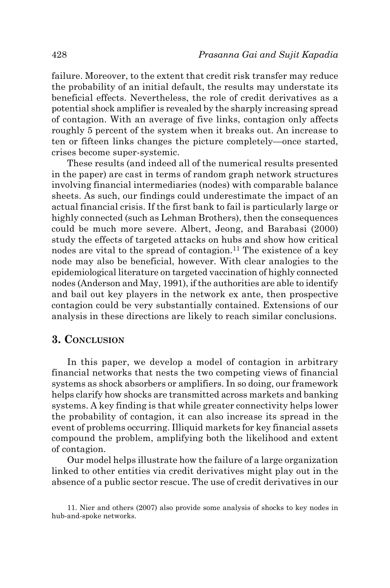failure. Moreover, to the extent that credit risk transfer may reduce the probability of an initial default, the results may understate its beneficial effects. Nevertheless, the role of credit derivatives as a potential shock amplifier is revealed by the sharply increasing spread of contagion. With an average of five links, contagion only affects roughly 5 percent of the system when it breaks out. An increase to ten or fifteen links changes the picture completely—once started, crises become super-systemic.

These results (and indeed all of the numerical results presented in the paper) are cast in terms of random graph network structures involving financial intermediaries (nodes) with comparable balance sheets. As such, our findings could underestimate the impact of an actual financial crisis. If the first bank to fail is particularly large or highly connected (such as Lehman Brothers), then the consequences could be much more severe. Albert, Jeong, and Barabasi (2000) study the effects of targeted attacks on hubs and show how critical nodes are vital to the spread of contagion.<sup>11</sup> The existence of a key node may also be beneficial, however. With clear analogies to the epidemiological literature on targeted vaccination of highly connected nodes (Anderson and May, 1991), if the authorities are able to identify and bail out key players in the network ex ante, then prospective contagion could be very substantially contained. Extensions of our analysis in these directions are likely to reach similar conclusions.

## **3. Conclusion**

In this paper, we develop a model of contagion in arbitrary financial networks that nests the two competing views of financial systems as shock absorbers or amplifiers. In so doing, our framework helps clarify how shocks are transmitted across markets and banking systems. A key finding is that while greater connectivity helps lower the probability of contagion, it can also increase its spread in the event of problems occurring. Illiquid markets for key financial assets compound the problem, amplifying both the likelihood and extent of contagion.

Our model helps illustrate how the failure of a large organization linked to other entities via credit derivatives might play out in the absence of a public sector rescue. The use of credit derivatives in our

11. Nier and others (2007) also provide some analysis of shocks to key nodes in hub-and-spoke networks.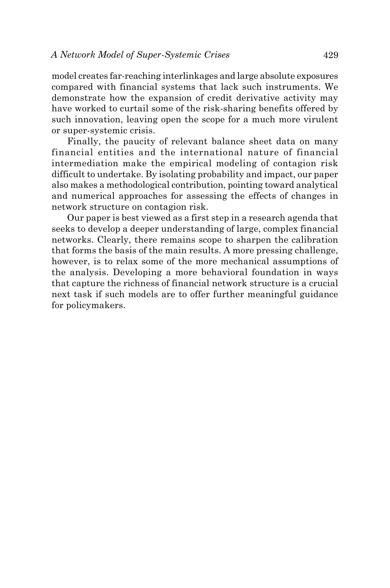model creates far-reaching interlinkages and large absolute exposures compared with financial systems that lack such instruments. We demonstrate how the expansion of credit derivative activity may have worked to curtail some of the risk-sharing benefits offered by such innovation, leaving open the scope for a much more virulent or super-systemic crisis.

Finally, the paucity of relevant balance sheet data on many financial entities and the international nature of financial intermediation make the empirical modeling of contagion risk difficult to undertake. By isolating probability and impact, our paper also makes a methodological contribution, pointing toward analytical and numerical approaches for assessing the effects of changes in network structure on contagion risk.

Our paper is best viewed as a first step in a research agenda that seeks to develop a deeper understanding of large, complex financial networks. Clearly, there remains scope to sharpen the calibration that forms the basis of the main results. A more pressing challenge, however, is to relax some of the more mechanical assumptions of the analysis. Developing a more behavioral foundation in ways that capture the richness of financial network structure is a crucial next task if such models are to offer further meaningful guidance for policymakers.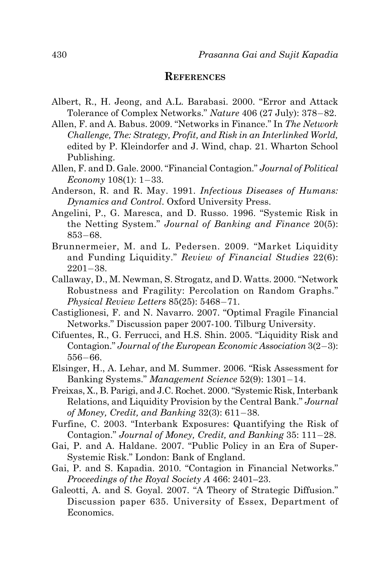#### **References**

- Albert, R., H. Jeong, and A.L. Barabasi. 2000. "Error and Attack Tolerance of Complex Networks." *Nature* 406 (27 July): 378−82.
- Allen, F. and A. Babus. 2009. "Networks in Finance." In *The Network Challenge, The: Strategy, Profit, and Risk in an Interlinked World,*  edited by P. Kleindorfer and J. Wind, chap. 21. Wharton School Publishing.
- Allen, F. and D. Gale. 2000. "Financial Contagion." *Journal of Political Economy* 108(1): 1−33.
- Anderson, R. and R. May. 1991. *Infectious Diseases of Humans: Dynamics and Control*. Oxford University Press.
- Angelini, P., G. Maresca, and D. Russo. 1996. "Systemic Risk in the Netting System." *Journal of Banking and Finance* 20(5): 853−68.
- Brunnermeier, M. and L. Pedersen. 2009. "Market Liquidity and Funding Liquidity." *Review of Financial Studies* 22(6): 2201−38.
- Callaway, D., M. Newman, S. Strogatz, and D. Watts. 2000. "Network Robustness and Fragility: Percolation on Random Graphs." *Physical Review Letters* 85(25): 5468−71.
- Castiglionesi, F. and N. Navarro. 2007. "Optimal Fragile Financial Networks." Discussion paper 2007-100. Tilburg University.
- Cifuentes, R., G. Ferrucci, and H.S. Shin. 2005. "Liquidity Risk and Contagion." *Journal of the European Economic Association* 3(2−3): 556−66.
- Elsinger, H., A. Lehar, and M. Summer. 2006. "Risk Assessment for Banking Systems." *Management Science* 52(9): 1301−14.
- Freixas, X., B. Parigi, and J.C. Rochet. 2000. "Systemic Risk, Interbank Relations, and Liquidity Provision by the Central Bank." *Journal of Money, Credit, and Banking* 32(3): 611−38.
- Furfine, C. 2003. "Interbank Exposures: Quantifying the Risk of Contagion." *Journal of Money, Credit, and Banking* 35: 111−28.
- Gai, P. and A. Haldane. 2007. "Public Policy in an Era of Super-Systemic Risk." London: Bank of England.
- Gai, P. and S. Kapadia. 2010. "Contagion in Financial Networks." *Proceedings of the Royal Society A* 466: 2401–23.
- Galeotti, A. and S. Goyal. 2007. "A Theory of Strategic Diffusion." Discussion paper 635. University of Essex, Department of Economics.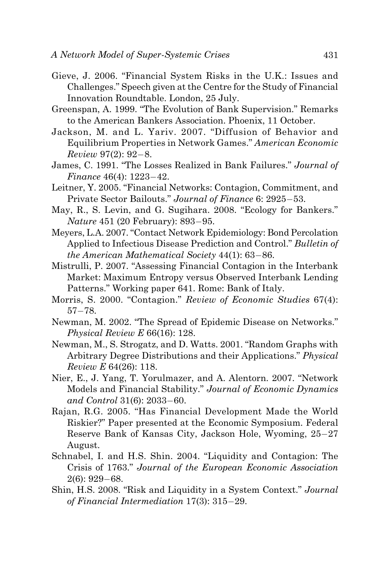- Gieve, J. 2006. "Financial System Risks in the U.K.: Issues and Challenges." Speech given at the Centre for the Study of Financial Innovation Roundtable. London, 25 July.
- Greenspan, A. 1999. "The Evolution of Bank Supervision." Remarks to the American Bankers Association. Phoenix, 11 October.
- Jackson, M. and L. Yariv. 2007. "Diffusion of Behavior and Equilibrium Properties in Network Games." *American Economic Review* 97(2): 92−8.
- James, C. 1991. "The Losses Realized in Bank Failures." *Journal of Finance* 46(4): 1223−42.
- Leitner, Y. 2005. "Financial Networks: Contagion, Commitment, and Private Sector Bailouts." *Journal of Finance* 6: 2925−53.
- May, R., S. Levin, and G. Sugihara. 2008. "Ecology for Bankers." *Nature* 451 (20 February): 893−95.
- Meyers, L.A. 2007. "Contact Network Epidemiology: Bond Percolation Applied to Infectious Disease Prediction and Control." *Bulletin of the American Mathematical Society* 44(1): 63−86.
- Mistrulli, P. 2007. "Assessing Financial Contagion in the Interbank Market: Maximum Entropy versus Observed Interbank Lending Patterns." Working paper 641. Rome: Bank of Italy.
- Morris, S. 2000. "Contagion." *Review of Economic Studies* 67(4): 57−78.
- Newman, M. 2002. "The Spread of Epidemic Disease on Networks." *Physical Review E* 66(16): 128.
- Newman, M., S. Strogatz, and D. Watts. 2001. "Random Graphs with Arbitrary Degree Distributions and their Applications." *Physical Review E* 64(26): 118.
- Nier, E., J. Yang, T. Yorulmazer, and A. Alentorn. 2007. "Network Models and Financial Stability." *Journal of Economic Dynamics and Control* 31(6): 2033−60.
- Rajan, R.G. 2005. "Has Financial Development Made the World Riskier?" Paper presented at the Economic Symposium. Federal Reserve Bank of Kansas City, Jackson Hole, Wyoming, 25−27 August.
- Schnabel, I. and H.S. Shin. 2004. "Liquidity and Contagion: The Crisis of 1763." *Journal of the European Economic Association* 2(6): 929−68.
- Shin, H.S. 2008. "Risk and Liquidity in a System Context." *Journal of Financial Intermediation* 17(3): 315−29.